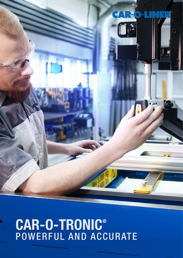

# POWERFUL AND ACCURATE CAR-O-TRONIC®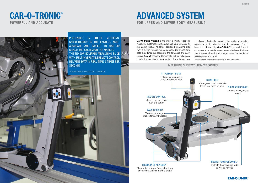

### MEASURING SLIDE WITH REMOTE CONTROL

# POWERFUL AND ACCURATE FOR UPPER AND LOWER BODY MEASURING ADVANCED SYSTEM

# CAR-O-TRONIC®

ATTACHMENT POINT Fast and easy mounting

### EASY TO CARRY

The comfortable grip makes for easy transport





Car-O-Tronic Vision2 is the most powerful electronic measuring system for collision damage repair available on the market today. The sensor-equipped measuring slide ,with a built-in versatile remote control1 , delivers real-time data three times per second to the advanced and easyto-use **Vision2** software. Compatible with any alignment bench, this wireless communication allows the operator to almost effortlessly manage the entire measuring process without having to be at the computer. Photobased, and backed by Car-O-Data<sup>™</sup>, the world's most comprehensive vehicle measurement database, it allows you to accurately and quickly target measuring points for fast diagnosis and repair. 1 Remote control features vary according to hardware version.

REMOTE CONTROL

Measurements in one push of a button

PRESENTED IN THREE VERSIONS<sup>1</sup> CAR-O-TRONIC® IS THE FASTEST, MOST ACCURATE, AND EASIEST TO USE 3D MEASURING SYSTEM ON THE MARKET. THE SENSOR-EQUIPPED MEASURING SLIDE WITH BUILT-IN VERSATILE REMOTE CONTROL DELIVERS DATA IN REAL-TIME, 3 TIMES PER SECOND!

### FREEDOM OF MOVEMENT Three rotating axes. Easily slide from one point to another over the bridge

1 Car-O-Tronic® Vision2 X1, X2 and X3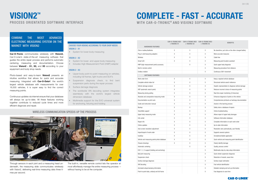# PROCESS ORIENTATED SOFTWARE INTERFACE **VISION2™**

### COMBINE THE MOST ADVANCED ELECTRONIC MEASURING SYSTEM ON THE MARKET WITH VISION2

### CHOOSE YOUR VISION2 ACCORDING TO YOUR SHOP NEEDS VISION 2 - X1

• System for lower-body measuring

### VISION 2 - X2

- System for lower- and upper-body measuring
- Includes High Measurement Point (HMP) adapter

### VISION 2 - X3

Car-O-Tronic communicates wirelessly with Vision2, Car-O-Liner's state-of-the-art measuring software that guides the entire repair process and performs automatic centering, measuring and documentation. Choose between Vision2 - X1, X2, and X3 according to your equipment and body shop needs.

- Upper-body point-to-point measuring on vehicles, including full frames, light trucks and SUV's
- Suspension diagnosis check, to find bent suspension parts during the repair process
- Surface damage diagnosis
- The worldwide VIN decoding system integrates seamlessly with the world's largest vehicle dimension database
- Multimedia support for the EVO universal system for anchoring, fixturing and holding

Photo-based and easy-to-learn **Vision2** presents an intuitive workflow that allows for quick and accurate measuring. Integrated with **Car-O-Data®**, the world's largest vehicle database with measurements for over 16,500 vehicles, it is super easy to find the correct measuring points.

### WIRELESS COMMUNICATION SPEEDS UP THE PROCESS



# WITH CAR-O-TRONIC<sup>®</sup> AND VISION2 SOFTWARE COMPLETE - FAST - ACCURATE

Continuous updates via internet ensure that your database will always be up-to-date. All these features working together contribute to reduced cycle times and more efficient diagnosis and repair.

| <b>HARDWARE FEATURES</b><br>χ<br>χ<br>Χ<br>No downtime, just click on the other charged battery<br>Χ<br>χ<br>Χ<br>More accurate measures<br>Χ<br>χ<br>Χ<br>Cable free<br>Χ<br>χ<br>χ<br>Measuring point location assistant<br>χ<br>χ<br>Quick upper body diagnosis<br>Χ<br>Measuring procedure from distance<br>Χ<br>Continuous 360° movement<br><b>SOFTWARE FEATURES</b><br>Χ<br>Χ<br>Χ<br>Keep a repaired vehicle database<br>χ<br>Χ<br>Χ<br>Structured vehicle search reference<br>χ<br>χ<br>Χ<br>Graphic representation to diagnose vehicle damage<br>χ<br>χ<br>χ<br>Reduces incorrect choice of measuring points<br>χ<br>Χ<br>Χ<br>Real time repair monitoring (3 times/sec)<br>χ<br>χ<br>Χ<br>Enhances diagnosis of points on the vehicle<br>χ<br>χ<br>χ<br>Comprehensive printouts as hardcopy documentation<br>χ<br>χ<br>χ<br>Assists in the learning process<br>χ<br>χ<br>Χ<br>Safely store a database of repairs<br>Χ<br>χ<br>Χ<br>Online troubleshooting<br>χ<br>χ<br>χ<br>Upper body measuring mode<br>Allows repair of upper body damages<br>χ<br>χ<br>Software information database<br>χ<br>Info center<br>Χ<br>Χ<br>Χ<br>Complete information on each work order<br>Χ<br>χ<br>Χ<br>Up-to-date information<br>χ<br>χ<br>χ<br>Resolution sets automatically, user friendly<br>Χ<br>χ<br>Χ<br>Supports several systems<br>χ<br>χ<br>χ<br>Smartphone/tablet application<br>Χ<br>χ<br>Χ<br>Quick vehicle and measuring point identification<br>χ<br>χ<br>χ<br>Clearly identify damage<br>Χ<br>Χ<br>Quality, process control<br>X<br>Multimedia step-by-step setup information<br>Χ<br>Quick wheel suspension diagnosis<br>Χ<br>Reduction of rework, saves time<br>Χ<br>Surface repair estimation<br>Χ<br>Fast vehicle identification<br>Χ<br>Detailed clamping and set-up information<br>χ<br>Fast diagnosis to save time |                                             | <b>CAR-O-TRONIC M21</b><br>$+$ VISION2 X1 | <b>CAR-O-TRONIC M22</b><br>$+$ VISION2 X2 | <b>CAR-O-TRONIC M23</b><br>$+$ VISION2 X3 | <b>BENEFITS</b> |
|-------------------------------------------------------------------------------------------------------------------------------------------------------------------------------------------------------------------------------------------------------------------------------------------------------------------------------------------------------------------------------------------------------------------------------------------------------------------------------------------------------------------------------------------------------------------------------------------------------------------------------------------------------------------------------------------------------------------------------------------------------------------------------------------------------------------------------------------------------------------------------------------------------------------------------------------------------------------------------------------------------------------------------------------------------------------------------------------------------------------------------------------------------------------------------------------------------------------------------------------------------------------------------------------------------------------------------------------------------------------------------------------------------------------------------------------------------------------------------------------------------------------------------------------------------------------------------------------------------------------------------------------------------------------------------------------------------------------------------------------------------------------------------------------------------------------------------------|---------------------------------------------|-------------------------------------------|-------------------------------------------|-------------------------------------------|-----------------|
|                                                                                                                                                                                                                                                                                                                                                                                                                                                                                                                                                                                                                                                                                                                                                                                                                                                                                                                                                                                                                                                                                                                                                                                                                                                                                                                                                                                                                                                                                                                                                                                                                                                                                                                                                                                                                                     |                                             |                                           |                                           |                                           |                 |
|                                                                                                                                                                                                                                                                                                                                                                                                                                                                                                                                                                                                                                                                                                                                                                                                                                                                                                                                                                                                                                                                                                                                                                                                                                                                                                                                                                                                                                                                                                                                                                                                                                                                                                                                                                                                                                     | Click in battery/batteries                  |                                           |                                           |                                           |                 |
|                                                                                                                                                                                                                                                                                                                                                                                                                                                                                                                                                                                                                                                                                                                                                                                                                                                                                                                                                                                                                                                                                                                                                                                                                                                                                                                                                                                                                                                                                                                                                                                                                                                                                                                                                                                                                                     | Plug in slot/measuring adapters             |                                           |                                           |                                           |                 |
|                                                                                                                                                                                                                                                                                                                                                                                                                                                                                                                                                                                                                                                                                                                                                                                                                                                                                                                                                                                                                                                                                                                                                                                                                                                                                                                                                                                                                                                                                                                                                                                                                                                                                                                                                                                                                                     | Wireless                                    |                                           |                                           |                                           |                 |
|                                                                                                                                                                                                                                                                                                                                                                                                                                                                                                                                                                                                                                                                                                                                                                                                                                                                                                                                                                                                                                                                                                                                                                                                                                                                                                                                                                                                                                                                                                                                                                                                                                                                                                                                                                                                                                     | Smart LED                                   |                                           |                                           |                                           |                 |
|                                                                                                                                                                                                                                                                                                                                                                                                                                                                                                                                                                                                                                                                                                                                                                                                                                                                                                                                                                                                                                                                                                                                                                                                                                                                                                                                                                                                                                                                                                                                                                                                                                                                                                                                                                                                                                     | HMP (high measurement point) accessory      |                                           |                                           |                                           |                 |
|                                                                                                                                                                                                                                                                                                                                                                                                                                                                                                                                                                                                                                                                                                                                                                                                                                                                                                                                                                                                                                                                                                                                                                                                                                                                                                                                                                                                                                                                                                                                                                                                                                                                                                                                                                                                                                     | Built-in remote control                     |                                           |                                           |                                           |                 |
|                                                                                                                                                                                                                                                                                                                                                                                                                                                                                                                                                                                                                                                                                                                                                                                                                                                                                                                                                                                                                                                                                                                                                                                                                                                                                                                                                                                                                                                                                                                                                                                                                                                                                                                                                                                                                                     | <b>Endless rotation</b>                     |                                           |                                           |                                           |                 |
|                                                                                                                                                                                                                                                                                                                                                                                                                                                                                                                                                                                                                                                                                                                                                                                                                                                                                                                                                                                                                                                                                                                                                                                                                                                                                                                                                                                                                                                                                                                                                                                                                                                                                                                                                                                                                                     |                                             |                                           |                                           |                                           |                 |
|                                                                                                                                                                                                                                                                                                                                                                                                                                                                                                                                                                                                                                                                                                                                                                                                                                                                                                                                                                                                                                                                                                                                                                                                                                                                                                                                                                                                                                                                                                                                                                                                                                                                                                                                                                                                                                     | Work order form                             |                                           |                                           |                                           |                 |
|                                                                                                                                                                                                                                                                                                                                                                                                                                                                                                                                                                                                                                                                                                                                                                                                                                                                                                                                                                                                                                                                                                                                                                                                                                                                                                                                                                                                                                                                                                                                                                                                                                                                                                                                                                                                                                     | Complete vehicle index list                 |                                           |                                           |                                           |                 |
|                                                                                                                                                                                                                                                                                                                                                                                                                                                                                                                                                                                                                                                                                                                                                                                                                                                                                                                                                                                                                                                                                                                                                                                                                                                                                                                                                                                                                                                                                                                                                                                                                                                                                                                                                                                                                                     | Vehicle damage analysis                     |                                           |                                           |                                           |                 |
|                                                                                                                                                                                                                                                                                                                                                                                                                                                                                                                                                                                                                                                                                                                                                                                                                                                                                                                                                                                                                                                                                                                                                                                                                                                                                                                                                                                                                                                                                                                                                                                                                                                                                                                                                                                                                                     | ASP (automatic search point)                |                                           |                                           |                                           |                 |
|                                                                                                                                                                                                                                                                                                                                                                                                                                                                                                                                                                                                                                                                                                                                                                                                                                                                                                                                                                                                                                                                                                                                                                                                                                                                                                                                                                                                                                                                                                                                                                                                                                                                                                                                                                                                                                     | Measuring during pulling                    |                                           |                                           |                                           |                 |
|                                                                                                                                                                                                                                                                                                                                                                                                                                                                                                                                                                                                                                                                                                                                                                                                                                                                                                                                                                                                                                                                                                                                                                                                                                                                                                                                                                                                                                                                                                                                                                                                                                                                                                                                                                                                                                     | Absolute and comparative measuring mode     |                                           |                                           |                                           |                 |
|                                                                                                                                                                                                                                                                                                                                                                                                                                                                                                                                                                                                                                                                                                                                                                                                                                                                                                                                                                                                                                                                                                                                                                                                                                                                                                                                                                                                                                                                                                                                                                                                                                                                                                                                                                                                                                     | Documentation as print-outs                 |                                           |                                           |                                           |                 |
|                                                                                                                                                                                                                                                                                                                                                                                                                                                                                                                                                                                                                                                                                                                                                                                                                                                                                                                                                                                                                                                                                                                                                                                                                                                                                                                                                                                                                                                                                                                                                                                                                                                                                                                                                                                                                                     | Guide and instruction manual                |                                           |                                           |                                           |                 |
|                                                                                                                                                                                                                                                                                                                                                                                                                                                                                                                                                                                                                                                                                                                                                                                                                                                                                                                                                                                                                                                                                                                                                                                                                                                                                                                                                                                                                                                                                                                                                                                                                                                                                                                                                                                                                                     | Backup                                      |                                           |                                           |                                           |                 |
|                                                                                                                                                                                                                                                                                                                                                                                                                                                                                                                                                                                                                                                                                                                                                                                                                                                                                                                                                                                                                                                                                                                                                                                                                                                                                                                                                                                                                                                                                                                                                                                                                                                                                                                                                                                                                                     | VisionWeb support                           |                                           |                                           |                                           |                 |
|                                                                                                                                                                                                                                                                                                                                                                                                                                                                                                                                                                                                                                                                                                                                                                                                                                                                                                                                                                                                                                                                                                                                                                                                                                                                                                                                                                                                                                                                                                                                                                                                                                                                                                                                                                                                                                     |                                             |                                           |                                           |                                           |                 |
|                                                                                                                                                                                                                                                                                                                                                                                                                                                                                                                                                                                                                                                                                                                                                                                                                                                                                                                                                                                                                                                                                                                                                                                                                                                                                                                                                                                                                                                                                                                                                                                                                                                                                                                                                                                                                                     |                                             |                                           |                                           |                                           |                 |
|                                                                                                                                                                                                                                                                                                                                                                                                                                                                                                                                                                                                                                                                                                                                                                                                                                                                                                                                                                                                                                                                                                                                                                                                                                                                                                                                                                                                                                                                                                                                                                                                                                                                                                                                                                                                                                     | Repair info                                 |                                           |                                           |                                           |                 |
|                                                                                                                                                                                                                                                                                                                                                                                                                                                                                                                                                                                                                                                                                                                                                                                                                                                                                                                                                                                                                                                                                                                                                                                                                                                                                                                                                                                                                                                                                                                                                                                                                                                                                                                                                                                                                                     | Online updates                              |                                           |                                           |                                           |                 |
|                                                                                                                                                                                                                                                                                                                                                                                                                                                                                                                                                                                                                                                                                                                                                                                                                                                                                                                                                                                                                                                                                                                                                                                                                                                                                                                                                                                                                                                                                                                                                                                                                                                                                                                                                                                                                                     | Auto screen resolution adjustment           |                                           |                                           |                                           |                 |
|                                                                                                                                                                                                                                                                                                                                                                                                                                                                                                                                                                                                                                                                                                                                                                                                                                                                                                                                                                                                                                                                                                                                                                                                                                                                                                                                                                                                                                                                                                                                                                                                                                                                                                                                                                                                                                     | Import/export of work order                 |                                           |                                           |                                           |                 |
|                                                                                                                                                                                                                                                                                                                                                                                                                                                                                                                                                                                                                                                                                                                                                                                                                                                                                                                                                                                                                                                                                                                                                                                                                                                                                                                                                                                                                                                                                                                                                                                                                                                                                                                                                                                                                                     | handEye                                     |                                           |                                           |                                           |                 |
|                                                                                                                                                                                                                                                                                                                                                                                                                                                                                                                                                                                                                                                                                                                                                                                                                                                                                                                                                                                                                                                                                                                                                                                                                                                                                                                                                                                                                                                                                                                                                                                                                                                                                                                                                                                                                                     | Vehicle and measuring points photo database |                                           |                                           |                                           |                 |
|                                                                                                                                                                                                                                                                                                                                                                                                                                                                                                                                                                                                                                                                                                                                                                                                                                                                                                                                                                                                                                                                                                                                                                                                                                                                                                                                                                                                                                                                                                                                                                                                                                                                                                                                                                                                                                     | Chassis drawings                            |                                           |                                           |                                           |                 |
|                                                                                                                                                                                                                                                                                                                                                                                                                                                                                                                                                                                                                                                                                                                                                                                                                                                                                                                                                                                                                                                                                                                                                                                                                                                                                                                                                                                                                                                                                                                                                                                                                                                                                                                                                                                                                                     | Automatic centering                         |                                           |                                           |                                           |                 |
|                                                                                                                                                                                                                                                                                                                                                                                                                                                                                                                                                                                                                                                                                                                                                                                                                                                                                                                                                                                                                                                                                                                                                                                                                                                                                                                                                                                                                                                                                                                                                                                                                                                                                                                                                                                                                                     | EVO 1, 2, 3 support (holding and anchoring) |                                           |                                           |                                           |                 |
|                                                                                                                                                                                                                                                                                                                                                                                                                                                                                                                                                                                                                                                                                                                                                                                                                                                                                                                                                                                                                                                                                                                                                                                                                                                                                                                                                                                                                                                                                                                                                                                                                                                                                                                                                                                                                                     | Ball joint measuring                        |                                           |                                           |                                           |                 |
|                                                                                                                                                                                                                                                                                                                                                                                                                                                                                                                                                                                                                                                                                                                                                                                                                                                                                                                                                                                                                                                                                                                                                                                                                                                                                                                                                                                                                                                                                                                                                                                                                                                                                                                                                                                                                                     | Suspension check                            |                                           |                                           |                                           |                 |
|                                                                                                                                                                                                                                                                                                                                                                                                                                                                                                                                                                                                                                                                                                                                                                                                                                                                                                                                                                                                                                                                                                                                                                                                                                                                                                                                                                                                                                                                                                                                                                                                                                                                                                                                                                                                                                     | Surface damage diagnosis                    |                                           |                                           |                                           |                 |
|                                                                                                                                                                                                                                                                                                                                                                                                                                                                                                                                                                                                                                                                                                                                                                                                                                                                                                                                                                                                                                                                                                                                                                                                                                                                                                                                                                                                                                                                                                                                                                                                                                                                                                                                                                                                                                     | <b>VIN Decoding</b>                         |                                           |                                           |                                           |                 |
|                                                                                                                                                                                                                                                                                                                                                                                                                                                                                                                                                                                                                                                                                                                                                                                                                                                                                                                                                                                                                                                                                                                                                                                                                                                                                                                                                                                                                                                                                                                                                                                                                                                                                                                                                                                                                                     | Animated setup/clamping information         |                                           |                                           |                                           |                 |
|                                                                                                                                                                                                                                                                                                                                                                                                                                                                                                                                                                                                                                                                                                                                                                                                                                                                                                                                                                                                                                                                                                                                                                                                                                                                                                                                                                                                                                                                                                                                                                                                                                                                                                                                                                                                                                     | Point-to-point data, unibody and full frame |                                           |                                           |                                           |                 |



Through sensors in each joint and a measuring head underneath, the measuring slide communicates wirelessly with Vision2, delivering real-time measuring data three times per second.

The built-in, versatile remote control lets the operator almost effortlessly manage the entire measuring process without having to be at the computer.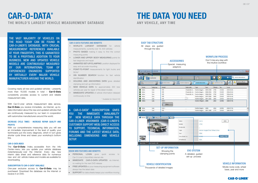Covering nearly all new and updated vehicles – presently more than 16,500 models in total - **Car-O-Data** consistently provides access to current and reliable measurement data.

With Car-O-Liner vehicle measurement data service Car-O-Data you receive immediate, via Internet, up-todate information about the new and updated vehicles that are continuously measured by our team in cooperation with automotive manufacturers around the world.

### DECREASE CYCLE TIMES - INCREASE REPAIR QUALITY AND **PROFITS**

The **Car-O-Data** Index, accessible from the Info Center menu , lets you update your vehicle database instantaneously over the Internet. Every day new interim data sheet and reference data for numerous new and old vehicle makes and models are available for downloading.

With our comprehensive measuring data you will see an immediate improvement in the level of quality your technicians put into every diagnosis, which in turn gives shorter cycle times and raises your workshop's bottom line.

### CAR-O-DATA INDEX

### SUBSCRIPITION TO CAR-O-DATA® AVAILABLE

One-year exclusive access to Car-O-Data may be purchased. Download the database via the internet or receive it on DVD.

# THE WORLD'S LARGEST VEHICLE MEASUREMENT DATABASE ANY VEHICLE, ANY TIME CAR-O-DATA® EXAMPLE THE DATA YOU NEED

THE VAST MAJORITY OF VEHICLES ON THE ROAD TODAY CAN BE FOUND IN CAR-O-LINER'S DATABASE. WITH CRUCIAL MEASUREMENT REFERENCES AVAILABLE AT YOUR FINGERTIPS, THIS IS GARANTEED TO BE A PROFITABLE ADDITION TO YOUR BUSINESS. NEW AND UPDATED VEHICLE MODELS ARE CONTINUOUSLY MEASURED BY OUR INTERNATIONAL TEAM OF EXPERIENCED ENGINEERS SUPPORTED BY VIRTUALLY EVERY MAJOR VEHICLE MANUFACTURER AROUND THE WORLD.

> A CAR-O-DATA® SUBSCRIPTION GIVES YOU THE IMMEDIATE AVAILABILITY NEW VEHICLE DATA THROUGH THE CAR-O-LINER VISIONWEB (CAR-O-LINER'S CUSTOMER SUPPORT WEB) DIRECT ACCESS TO SUPPORT, TECHNICAL INFORMATION, FORUMS AND THE LATEST VEHICLE DATA, INCLUDING DIMENSIONS AND VEHICLE SETUP.

### CAR-O-DATA FEATURES AND BENEFITS

- WORLD'S LARGEST DATABASE for vehicle measurements, currently over 16, 500 vehicles
- PHOTO BASED making it easy to find the correct measuring points
- LOWER AND UPPER<sup>2</sup> BODY MEASURING points for fast diagnosis and repair
- ANIMATED SET-UP/CLAMPING position displayed for easy and accurate mounting
- POINT-TO-POINT measurements for light trucks and  $SI$   $Ns<sup>2</sup>$
- VIN NUMBER SEARCH<sup>2</sup> function for fast vehicle identification
- HOLDING AND ANCHORING DATA<sup>2</sup> gives detailed clamping and set-up information
- NEW VEHICLE DATA for approximately 300 new vehicles per year for repair of the latest models
- **IMMEDIATE UPDATES** of vehicle information released continuously on-line

2 Available for Vision2 X3

### VISION WEB FEATURES AND BENEFITS

- **PERSONAL LOGIN** gives quick access to Car-O-Liner's VisionWeb internet site
- **IMMEDIATE CAR-O-DATA UPDATES** via Internet, no waiting for the next DVD release
- **FREE UPDATES** so your measuring equipment software always has the latest data
- SUPPORT for data sheets keeps your workflow moving

Thousands of detailed images



### WORKFLOW PROCESS

Don't miss any step with the intuitive workflow



| Select data sheet<br>Additional info<br>Wheel<br>Year<br>No.<br>1ssue<br>2005-2008<br>2760<br>22:034<br>2005-02-01<br>Station Wagon 2000-2004<br>2760<br>2004-02-01<br>22:023<br>Station Wagon 2000-2004<br>2760<br>22:023<br>2004-02-01<br>Station Wagon 1997-2000<br>2660<br>22:019<br>1997-01-01<br>Station Wagon 1997-2000<br>2005-03-01<br>2660<br>22:015<br>Station Wagon 2008-<br>2815<br>22:041<br>2010-07-01<br>Station Wagon 2008-<br>2816<br>22:041<br>2010-07-01<br>51ation Wagon 1997-1998<br>2770<br>22:016<br>1994-04-01<br>Volvo<br>OEM<br>VTO III<br>Station Wagon/Four Wheel Drive<br>$2008 -$<br>EVO P2P<br>22.041<br>2016 |                    |  | $\bullet$ | Q search internationa.<br>VIN |
|-----------------------------------------------------------------------------------------------------------------------------------------------------------------------------------------------------------------------------------------------------------------------------------------------------------------------------------------------------------------------------------------------------------------------------------------------------------------------------------------------------------------------------------------------------------------------------------------------------------------------------------------------|--------------------|--|-----------|-------------------------------|
|                                                                                                                                                                                                                                                                                                                                                                                                                                                                                                                                                                                                                                               |                    |  |           | sahow all years in            |
|                                                                                                                                                                                                                                                                                                                                                                                                                                                                                                                                                                                                                                               | Type               |  |           |                               |
|                                                                                                                                                                                                                                                                                                                                                                                                                                                                                                                                                                                                                                               | Station Wagon      |  |           |                               |
|                                                                                                                                                                                                                                                                                                                                                                                                                                                                                                                                                                                                                                               |                    |  |           |                               |
|                                                                                                                                                                                                                                                                                                                                                                                                                                                                                                                                                                                                                                               |                    |  |           |                               |
|                                                                                                                                                                                                                                                                                                                                                                                                                                                                                                                                                                                                                                               |                    |  |           |                               |
|                                                                                                                                                                                                                                                                                                                                                                                                                                                                                                                                                                                                                                               |                    |  |           |                               |
|                                                                                                                                                                                                                                                                                                                                                                                                                                                                                                                                                                                                                                               |                    |  |           |                               |
|                                                                                                                                                                                                                                                                                                                                                                                                                                                                                                                                                                                                                                               |                    |  |           |                               |
|                                                                                                                                                                                                                                                                                                                                                                                                                                                                                                                                                                                                                                               |                    |  |           |                               |
|                                                                                                                                                                                                                                                                                                                                                                                                                                                                                                                                                                                                                                               |                    |  |           |                               |
|                                                                                                                                                                                                                                                                                                                                                                                                                                                                                                                                                                                                                                               |                    |  |           |                               |
|                                                                                                                                                                                                                                                                                                                                                                                                                                                                                                                                                                                                                                               |                    |  |           |                               |
|                                                                                                                                                                                                                                                                                                                                                                                                                                                                                                                                                                                                                                               | <b>STEM</b>        |  |           |                               |
|                                                                                                                                                                                                                                                                                                                                                                                                                                                                                                                                                                                                                                               |                    |  |           |                               |
|                                                                                                                                                                                                                                                                                                                                                                                                                                                                                                                                                                                                                                               |                    |  |           |                               |
| <b>VEHICLE INFORMATION</b>                                                                                                                                                                                                                                                                                                                                                                                                                                                                                                                                                                                                                    | , guided<br>rocess |  |           |                               |
| Model, body code, wheel                                                                                                                                                                                                                                                                                                                                                                                                                                                                                                                                                                                                                       |                    |  |           |                               |

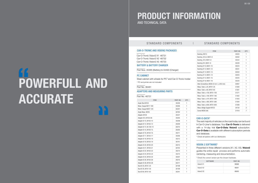## AND TECHNICAL DATA PRODUCT INFORMATION

### STANDARD COMPONENTS | STANDARD COMPONENTS

| <b>ITEM</b>            | PART. NO. | OTY.           |
|------------------------|-----------|----------------|
| Angle Stud M103        | 30226     | 1              |
| Meas. Gauge M217-180   | 30256     | 1              |
| Meas. Gauge M207-120   | 30257     | 1              |
| Angle Meas. M235       | 30764     | 1              |
| Adapter M104           | 30227     | $\overline{c}$ |
| Adapter Ø 8, M100-08   | 30200     | $\mathbf{1}$   |
| Adapter Ø 10, M100-10  | 30208     | 1              |
| Adapter Ø 12, M100-12  | 30209     | 1              |
| Adapter Ø 14, M-100-14 | 30210     | 1              |
| Adapter Ø 15, M100-15  | 30205     | 1              |
| Adapter Ø 16, M100-16  | 30211     | 1              |
| Adapter Ø 17, M100-17  | 30206     | 1              |
| Adapter Ø 18, M100-18  | 30212     | $\overline{c}$ |
| Adapter Ø 19, M100-19  | 30741     | 1              |
| Adapter Ø 20, M100-20  | 30213     | $\mathbf{1}$   |
| Adapter Ø 21, M100-21  | 30742     | $\mathbf{1}$   |
| Adapter Ø 22, M100-22  | 30214     | $\mathbf{1}$   |
| Adapter Ø 24, M100-24  | 30215     | 1              |
| Adapter Ø 25, M100-25  | 30207     | 1              |
| Adapter Ø 26, M100-26  | 30216     | 1              |
| Adapter Ø 28, M100-28  | 30217     | 1              |
| Stud Ø 25, M101-25     | 30198     | 1              |
| Stud Ø 35, M101-35     | 30199     | 1              |
| Stud Ø 60, M101-60     | 30241     | $\mathbf{1}$   |

Presented in three different versions (X1, X2, X3), Vision2 guides the entire repair process and performs automatic centering, measuring and documentation.

<sup>5</sup> Check the correct version per the chosen hardware.

| <b>ITEM</b>                             | PART, NO. | QTY. |
|-----------------------------------------|-----------|------|
| Bushing, M213                           | 34020     | 1    |
| Bushing Ø 6,5, M201-6                   | 30202     | 1    |
| Bushing Ø 8, M201-8                     | 30222     | 1    |
| Bushing Ø 9, M201-9                     | 30228     | 1    |
| Bushing Ø 10, M201-10                   | 30223     | 1    |
| Bushing Ø 12, M201-12                   | 30231     | 1    |
| Bushing Ø 13, M201-13                   | 30204     | 1    |
| Bushing Ø 14, M201-14                   | 30203     | 1    |
| Bushing Ø 15, M201-15                   | 30225     | 1    |
| Bushing Ø 18, M201-18                   | 30220     | 1    |
| Allen Screwdriver, M300 (4 mm L=250 mm) | 30467     | 1    |
| Meas. Tube L=25, M701-25                | 31260     | 1    |
| Meas. Tube L=60, M701-60                | 31261     | 1    |
| Meas. Tube L=100, M701-100              | 31271     | 1    |
| Meas. Tube L=180, M701-180              | 31262     | 1    |
| Meas. Tube L=270, M701-360              | 31263     | 1    |
| Meas. Tube L=360, M701-360              | 31264     | 1    |
| Meas. Tube L=600, M701-600              | 31268     | 1    |
| Meas. Bridge Support M722               | 34730     | 2    |
| Screw MC6S 5x6                          | 31418     | 7    |

### Part No. 46731

Part No. 36481

Part Nos. 35365 (Battery) & 33493 (Charger)

### ADAPTERS AND MEASURING PARTS

### PC CABINET

Steel cabinet with wheels for PC<sup>3</sup> and Car-O-Tronic holder <sup>3</sup> PC and printer are not included

BATTERY & BATTERY CHARGER

### CAR-O-DATA4

The vast majority of vehicles on the road today can be found in Car-O-Liner's database. Your **Car-O-Tronic** is delivered with a 14-day trial Car-O-Data Vision2 subscription. Car-O-Data is available with different subscription periods and database.

4 Check all options with our distributors

### VISION 2 SOFTWARE<sup>5</sup>

| <b>SOFTWARE</b>                    | PART. NO. |
|------------------------------------|-----------|
| Vision <sub>2</sub> X <sub>1</sub> | 46688     |
| Vision <sub>2</sub> X <sub>2</sub> | 46691     |
| Vision <sub>2</sub> X <sub>3</sub> | 46695     |

# POWERFULL AND ACCURATE

### CAR-O-TRONIC AND VISION2 PACKAGES

Car-O-Tronic Vision2 X1 46731 Car-O-Tronic Vision2 X2 46732 Car-O-Tronic Vision2 X3 46733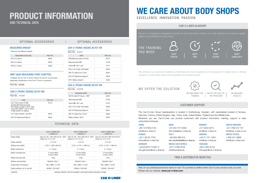### OPTIONAL ACCESSORIES | OPTIONAL ACCESSORIES

### MEASURING BRIDGE<sup>6</sup>

| <b>MEASURING SLIDE SIZE</b> | PART. NO. |
|-----------------------------|-----------|
| $M74$ (4.0 meters)          | 39634     |
| M75 (5.0 meters)            | 39635     |
| $M79(6.1$ meters)           | 39636     |

Part No. 36568

### 6 Observe the different lengths

### HMP7 (HIGH MEASURING POINT ADAPTER)

7 Available only for Car-O-Tronic Vision2 X2 and X3. If purchased separately recalibration of the Car-O-Tronic is necessary.

### Part No. 41318

### CAR-O-TRONIC VISION2 X2 KIT VW

### Part No. 41541

| <b>ITEM</b>                                                                                                                                                               | PART. NO. |
|---------------------------------------------------------------------------------------------------------------------------------------------------------------------------|-----------|
| Car-O-Tronic Vision2 X3 MB<br>(Includes M62 Measuring parts,<br>M741 Battery charger II, 34572 Mea-<br>suring Slide, 46697 1 year of Vision2<br>X3 MB and M81 PC Cabinet) | 41513     |
| Car-O-Data Complete 1 year DVD                                                                                                                                            | 39525     |
| M75 COT Measuring bridge 5m                                                                                                                                               | 39635     |

### CAR-O-TRONIC VISION2 X3 KIT MB

### Part No. 41317

| <b>ITEM</b>                    | PART. NO. |
|--------------------------------|-----------|
| M90 Measuring slide COT Vision | 34572     |
| Measuring parts M62            | 31259     |
| Vision2 X3 / VW, 1 year        | 41317     |
| SW 21 Car-O-Data DVD Update    | 35604     |
| M81 PC cabinet Car-O-Tronic    | 36481     |
| M74 COT Measuring bridge 4m    | 39634     |
| M741 Battery charger II        | 33493     |

### CAR-O-TRONIC VISION2 X3 KIT VW

### TECHNICAL DATA

THE TRAINING YOU NEED We are a competence development partner for the automotive industry, our main objective is to improve quality safety and profitability for body shops. RIGHT **PERSON** RIGHT TIME RIGHT COURSE RIGHT **COMPLEXITY** 



|                                     | <b>CAR-O-TRONIC M21</b><br>$+$ VISION2 X1                         | <b>CAR-O-TRONIC M22</b><br>$+$ VISION2 X2                                                   | <b>CAR-O-TRONIC M23</b><br>$+$ VISION2 X3                      |
|-------------------------------------|-------------------------------------------------------------------|---------------------------------------------------------------------------------------------|----------------------------------------------------------------|
| Supply voltage                      | lnput: AC 100 - 240 V, 800 mA 50 - 60Hz<br>Output: DC 15 V 2.2 mA | Input: AC 100 - 240 V, 800 mA 50 - 60Hz<br>Output: DC 15 V 2.2 mA                           | Input: AC 100-240 V, 800 mA 50-60 Hz<br>Output: DC 15 V 2.2 mA |
| Display resolution                  | $+0.5$ mm                                                         | $+0.5$ mm                                                                                   | $+0.5$ mm                                                      |
| Working area (LxWxH):               | 5.720 x 1.840 x 900 mm                                            | 6,720 x 2,120 x 1,985 mm                                                                    | 6,720 x 2,120 x 1,985 mm                                       |
| Battery working time                | $6 - 8$ hours                                                     | $6 - 8$ hours                                                                               | $6 - 8$ hours                                                  |
| Battery recharging time             | 2-3 hours (80%)<br>6 hours (100%)                                 | 2-3 hours (80%)<br>6 hours (100%)                                                           | 2-3 hours (80%)<br>6 hours (100%)                              |
| Weight measuring slide              | 18 <sub>kg</sub>                                                  | 18 kg                                                                                       | 18 kg                                                          |
| Wireless communication              | Bluetooth, Class 1                                                | Bluetooth, Class 1                                                                          | Bluetooth, Class 1                                             |
| Output power and frequency          | Max $+6$ dBm   2.4 GHz                                            | Max $+6$ dBm I 2.4 GHz                                                                      | Max $+6$ dBm   2.4 GHz                                         |
| Quality certificate, Car-O-Liner AB | ISO9001   ISO14001                                                | ISO9001 LISO14001                                                                           | ISO9001   ISO14001                                             |
| Calibration                         |                                                                   | Individual calibration with full traceability to international/national standards of length |                                                                |

Rely on our professional service teams in over 70 countries to define which Car-O-Liner product suits you best. Please visit our website: www.car-o-liner.com



### EXCELLENCE. INNOVATION. PASSION. WE CARE ABOUT BODY SHOPS

### WE OFFER THE SOLUTION



### CUSTOMER SUPPORT

### CAR-O-LINER ACADEMY

### FIND A DISTRIBUTOR NEAR YOU

The Car-O-Liner Group headquarters is located in Gothenburg, Sweden, with subsidiaries located in Norway, Germany, France, United Kingdon, Italy, China, India, United States, Thailand and the Middle East. Wherever you are, Car-O-Liner can provide customers with product information, training, support or data subscription/renewal.

We enhance our customer's abilities by identifying the real competence and development needed and by offering solutions to meet these needs and accelarate the business growth.

> UNITED KINGDOM: +44 1788 574 157 info@car-o-liner.co.uk UNITED STATES: 1-800 521 9696 info@car-o-liner.com

info.carolineritalia@car-o-liner.se

ITALY: +39 059 468 310 +91 844 757 0029 info.india@car-o-liner.se

### INDIA:

### MIDDLE EAST/AFRICA:

+971 6 566 8702 info@caroliner.ae

SWEDEN: +46 31 721 1050 info@car-o-liner.se NORWAY: +47 3343 0270 info@car-o-liner.no

THAILAND: +66 2 026 32 55 info.apac@car-o-liner.se

+33 1 69 52 7750 france@car-o-liner.net

### GERMANY:

FRANCE: +86 10 6789 2123 info@car-o-liner.cn

+49 (0) 6073 74487-0 info.germany@car-o-liner.se

### CHINA:



WE IMPLEMENT THE TRAINING

# AND TECHNICAL DATA PRODUCT INFORMATION

| <b>INCLUDED PARTS</b>          | PART. NO. |
|--------------------------------|-----------|
| M78 M. slide COT Classic + HMP | 36424     |
| Measuring parts M62            | 31259     |
| Vision $2$ X2 / VW, 1 year     | 41318     |
| SW 21 Car-O-Data DVD Update    | 35604     |
| M74 COT Measuring bridge 4m    | 36481     |
| M81 PC cabinet Car-O-Tronic    | 39634     |
| Battery charger II M741        | 33493     |